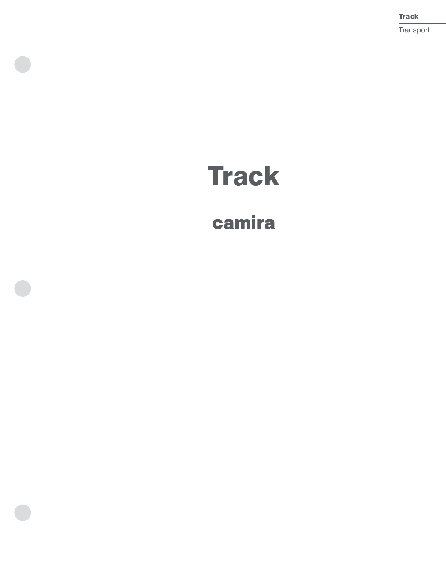**Track** Transport

# **Track**

## camira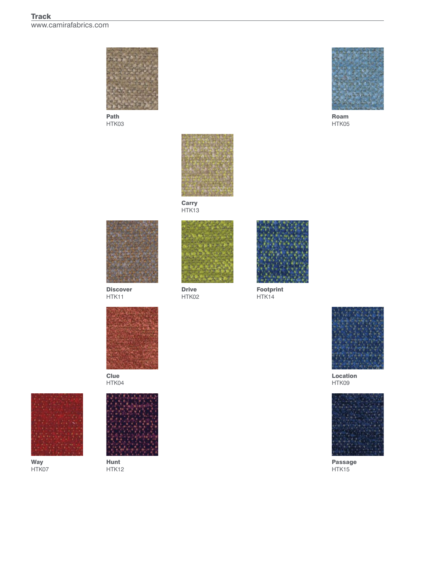

Path HTK03



Roam HTK05



Carry HTK13



Discover HTK<sub>11</sub>



Clue HTK04



Way HTK07



Hunt HTK12



Drive HTK02



Footprint HTK14



Location HTK09



Passage HTK15

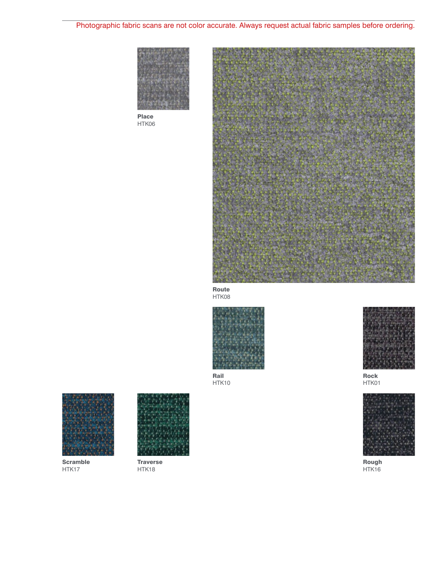## Photographic fabric scans are not color accurate. Always request actual fabric samples before ordering.



Place HTK06



Route HTK08



Rail HTK10



Scramble HTK17



**Traverse** HTK18



Rock HTK01



Rough HTK16